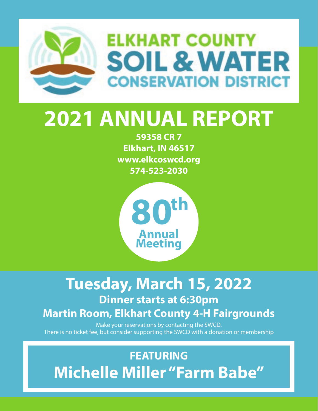

# **2021 ANNUAL REPORT**

59358 CR 7 Elkhart, IN 46517 www.elkcoswcd.org 574-523-2030



## Tuesday, March 15, 2022 **Dinner starts at 6:30pm**

#### **Martin Room, Elkhart County 4-H Fairgrounds**

Make your reservations by contacting the SWCD. There is no ticket fee, but consider supporting the SWCD with a donation or membership

### **FEATURING Michelle Miller "Farm Babe"**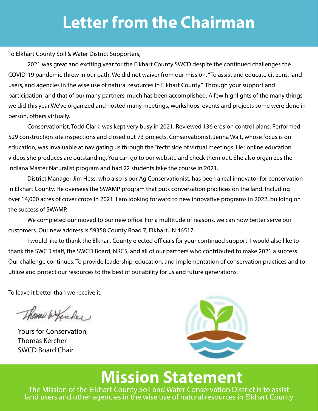# **Letter from the Chairman**

To Elkhart County Soil & Water District Supporters,

2021 was great and exciting year for the Elkhart County SWCD despite the continued challenges the COVID-19 pandemic threw in our path. We did not waiver from our mission. "To assist and educate citizens, land users, and agencies in the wise use of natural resources in Elkhart County." Through your support and participation, and that of our many partners, much has been accomplished. A few highlights of the many things we did this year. We've organized and hosted many meetings, workshops, events and projects some were done in person, others virtually.

Conservationist, Todd Clark, was kept very busy in 2021. Reviewed 136 erosion control plans. Performed 529 construction site inspections and closed out 73 projects. Conservationist, Jenna Wait, whose focus is on education, was invaluable at navigating us through the "tech" side of virtual meetings. Her online education videos she produces are outstanding. You can go to our website and check them out. She also organizes the Indiana Master Naturalist program and had 22 students take the course in 2021.

District Manager Jim Hess, who also is our Ag Conservationist, has been a real innovator for conservation in Elkhart County. He oversees the SWAMP program that puts conversation practices on the land. Including over 14,000 acres of cover crops in 2021. I am looking forward to new innovative programs in 2022, building on the success of SWAMP.

We completed our moved to our new office. For a multitude of reasons, we can now better serve our customers. Our new address is 59358 County Road 7, Elkhart, IN 46517.

I would like to thank the Elkhart County elected officials for your continued support. I would also like to thank the SWCD staff, the SWCD Board, NRCS, and all of our partners who contributed to make 2021 a success. Our challenge continues: To provide leadership, education, and implementation of conservation practices and to utilize and protect our resources to the best of our ability for us and future generations.

To leave it better than we receive it.

Thomas & Kercher

Yours for Conservation, **Thomas Kercher SWCD Board Chair** 



### **Mission Statement**

The Mission of the Elkhart County Soil and Water Conservation District is to assist land users and other agencies in the wise use of natural resources in Elkhart County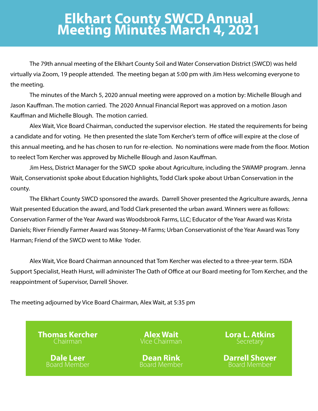# **Elkhart County SWCD Annual<br>Meeting Minutes March 4, 2021**

The 79th annual meeting of the Elkhart County Soil and Water Conservation District (SWCD) was held virtually via Zoom, 19 people attended. The meeting began at 5:00 pm with Jim Hess welcoming everyone to the meeting.

The minutes of the March 5, 2020 annual meeting were approved on a motion by: Michelle Blough and Jason Kauffman. The motion carried. The 2020 Annual Financial Report was approved on a motion Jason Kauffman and Michelle Blough. The motion carried.

Alex Wait, Vice Board Chairman, conducted the supervisor election. He stated the requirements for being a candidate and for voting. He then presented the slate Tom Kercher's term of office will expire at the close of this annual meeting, and he has chosen to run for re-election. No nominations were made from the floor. Motion to reelect Tom Kercher was approved by Michelle Blough and Jason Kauffman.

Jim Hess, District Manager for the SWCD spoke about Agriculture, including the SWAMP program. Jenna Wait, Conservationist spoke about Education highlights, Todd Clark spoke about Urban Conservation in the county.

The Elkhart County SWCD sponsored the awards. Darrell Shover presented the Agriculture awards, Jenna Wait presented Education the award, and Todd Clark presented the urban award. Winners were as follows: Conservation Farmer of the Year Award was Woodsbrook Farms, LLC; Educator of the Year Award was Krista Daniels; River Friendly Farmer Award was Stoney–M Farms; Urban Conservationist of the Year Award was Tony Harman: Friend of the SWCD went to Mike Yoder.

Alex Wait, Vice Board Chairman announced that Tom Kercher was elected to a three-year term. ISDA Support Specialist, Heath Hurst, will administer The Oath of Office at our Board meeting for Tom Kercher, and the reappointment of Supervisor, Darrell Shover.

The meeting adjourned by Vice Board Chairman, Alex Wait, at 5:35 pm

**Thomas Kercher** 

**Dale Leer** Board Member

Dean Rink Board Member **Lora L. Atkins** 

**Darrell Shover** Board Member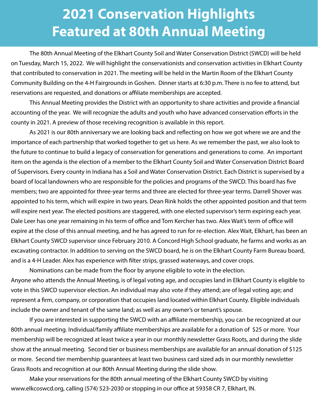### **2021 Conservation Highlights Featured at 80th Annual Meeting**

 The 80th Annual Meeting of the Elkhart County Soil and Water Conservation District (SWCD) will be held on Tuesday, March 15, 2022. We will highlight the conservationists and conservation activities in Elkhart County that contributed to conservation in 2021. The meeting will be held in the Martin Room of the Elkhart County Community Building on the 4-H Fairgrounds in Goshen. Dinner starts at 6:30 p.m. There is no fee to attend, but reservations are requested, and donations or affiliate memberships are accepted.

This Annual Meeting provides the District with an opportunity to share activities and provide a financial accounting of the year. We will recognize the adults and youth who have advanced conservation efforts in the county in 2021. A preview of those receiving recognition is available in this report.

As 2021 is our 80th anniversary we are looking back and reflecting on how we got where we are and the importance of each partnership that worked together to get us here. As we remember the past, we also look to the future to continue to build a legacy of conservation for generations and generations to come. An important item on the agenda is the election of a member to the Elkhart County Soil and Water Conservation District Board of Supervisors. Every county in Indiana has a Soil and Water Conservation District. Each District is supervised by a board of local landowners who are responsible for the policies and programs of the SWCD. This board has five members; two are appointed for three-year terms and three are elected for three-year terms. Darrell Shover was appointed to his term, which will expire in two years. Dean Rink holds the other appointed position and that term will expire next year. The elected positions are staggered, with one elected supervisor's term expiring each year. Dale Leer has one year remaining in his term of office and Tom Kercher has two. Alex Wait's term of office will expire at the close of this annual meeting, and he has agreed to run for re-election. Alex Wait, Elkhart, has been an Elkhart County SWCD supervisor since February 2010. A Concord High School graduate, he farms and works as an excavating contractor. In addition to serving on the SWCD board, he is on the Elkhart County Farm Bureau board, and is a 4-H Leader. Alex has experience with filter strips, grassed waterways, and cover crops.

Nominations can be made from the floor by anyone eligible to vote in the election. Anyone who attends the Annual Meeting, is of legal voting age, and occupies land in Elkhart County is eligible to vote in this SWCD supervisor election. An individual may also vote if they attend; are of legal voting age; and represent a firm, company, or corporation that occupies land located within Elkhart County. Eligible individuals include the owner and tenant of the same land; as well as any owner's or tenant's spouse.

If you are interested in supporting the SWCD with an affiliate membership, you can be recognized at our 80th annual meeting. Individual/family affiliate memberships are available for a donation of \$25 or more. Your membership will be recognized at least twice a year in our monthly newsletter Grass Roots, and during the slide show at the annual meeting. Second tier or business memberships are available for an annual donation of \$125 or more. Second tier membership guarantees at least two business card sized ads in our monthly newsletter Grass Roots and recognition at our 80th Annual Meeting during the slide show.

 Make your reservations for the 80th annual meeting of the Elkhart County SWCD by visiting www.elkcoswcd.org, calling (574) 523-2030 or stopping in our office at 59358 CR 7, Elkhart, IN.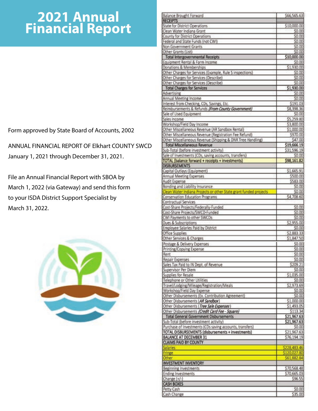#### 2021 Annual **Financial Report**

Form approved by State Board of Accounts, 2002

ANNUAL FINANCIAL REPORT OF Elkhart COUNTY SWCD January 1, 2021 through December 31, 2021.

File an Annual Financial Report with SBOA by March 1, 2022 (via Gateway) and send this form to your ISDA District Support Specialist by March 31, 2022.



| <b>RECEIPTS</b>                                                   | \$66,565.63                                                                                                                                                                                                                                    |
|-------------------------------------------------------------------|------------------------------------------------------------------------------------------------------------------------------------------------------------------------------------------------------------------------------------------------|
|                                                                   |                                                                                                                                                                                                                                                |
| State for District Operations                                     | \$10,000.00                                                                                                                                                                                                                                    |
| Clean Water Indiana Grant                                         | \$0.00                                                                                                                                                                                                                                         |
| County for District Operations                                    | \$0.00                                                                                                                                                                                                                                         |
| Federal and State Funds (not CWI)                                 | \$0.00                                                                                                                                                                                                                                         |
| Non Government Grants                                             | \$0.00                                                                                                                                                                                                                                         |
| Other Grants (List)                                               | \$0.00                                                                                                                                                                                                                                         |
| <b>Total Intergovernmental Receipts</b>                           | \$10,000.00                                                                                                                                                                                                                                    |
| Equipment Rental & Farm Income.                                   | \$0.00                                                                                                                                                                                                                                         |
| Donations & Memberships                                           | \$1,930.00                                                                                                                                                                                                                                     |
| Other Charges for Services (Example, Rule 5 inspections)          | \$0.00                                                                                                                                                                                                                                         |
| Other Charges for Services (Describe)                             | \$0.00                                                                                                                                                                                                                                         |
| Other Charges for Services (Describe)                             | \$0.00                                                                                                                                                                                                                                         |
| <b>Total Charges for Services</b>                                 | \$1,930.00                                                                                                                                                                                                                                     |
| Advertising                                                       | \$0.00                                                                                                                                                                                                                                         |
| Annual Meeting Income                                             | \$0.00                                                                                                                                                                                                                                         |
| Interest from Checking, CDs, Savings, Etc.                        | \$191.03                                                                                                                                                                                                                                       |
| Reimbursements & Refunds (From County Government)                 | \$8,398.36                                                                                                                                                                                                                                     |
| Sale of Used Equipment                                            | \$0.00                                                                                                                                                                                                                                         |
| Sales Income                                                      | \$5,259.80                                                                                                                                                                                                                                     |
| Workshop/Field Day Income                                         | \$3,800.00                                                                                                                                                                                                                                     |
| Other Miscellaneous Revenue (AR Sandbox Rental)                   | \$1,000.00                                                                                                                                                                                                                                     |
| Other Miscellaneous Revenue (Registration Fee Refund)             | \$970.00                                                                                                                                                                                                                                       |
| Other Miscellaneous Revenue (Shipping & DNR Tree Handling)        | \$47.00                                                                                                                                                                                                                                        |
| <b>Total Miscellaneous Revenue</b>                                | \$19,666.19                                                                                                                                                                                                                                    |
| Sub-Total (before investment activity)                            | \$31,596.19                                                                                                                                                                                                                                    |
| Sale of Investments (CDs, saving accounts, transfers).            | \$0.00                                                                                                                                                                                                                                         |
| TOTAL (balance forward + receipts + investments)                  | \$98,161.82                                                                                                                                                                                                                                    |
| <b>DISBURSEMENTS</b>                                              |                                                                                                                                                                                                                                                |
| Capital Outlays (Equipment)                                       | \$1,665.91                                                                                                                                                                                                                                     |
| Annual Meeting Expenses                                           | \$500.00                                                                                                                                                                                                                                       |
| Audit Expense                                                     | \$583.00                                                                                                                                                                                                                                       |
| Bonding and Liability Insurance                                   | \$0.00                                                                                                                                                                                                                                         |
| Clean Water Indiana Projects or other State grant funded projects | \$0.00                                                                                                                                                                                                                                         |
| Conservation Education Programs                                   | \$4,708.60                                                                                                                                                                                                                                     |
| Contractual Services                                              |                                                                                                                                                                                                                                                |
| Cost-Share Projects/Federally-Funded                              | \$0.00                                                                                                                                                                                                                                         |
| Cost-Share Projects/SWCD-Funded                                   | \$0.00                                                                                                                                                                                                                                         |
| CWI Payments to other SWCDs                                       | \$0.00                                                                                                                                                                                                                                         |
| Dues & Subscriptions                                              | \$2,955.00                                                                                                                                                                                                                                     |
| Employee Salaries Paid by District                                | \$0.00                                                                                                                                                                                                                                         |
| Office Supplies                                                   | \$2,883.33                                                                                                                                                                                                                                     |
| Other Services & Charges                                          | \$1,847.50                                                                                                                                                                                                                                     |
| Postage & Delivery Expenses                                       | \$0.00                                                                                                                                                                                                                                         |
| Printing/Copying Expense                                          | \$0.00                                                                                                                                                                                                                                         |
| Rent                                                              | \$0.00                                                                                                                                                                                                                                         |
| Repair Expenses                                                   | \$0.00                                                                                                                                                                                                                                         |
| Sales Tax Paid to IN Dept. of Revenue                             | \$209.21                                                                                                                                                                                                                                       |
| Supervisor Per Diem                                               | \$0.00                                                                                                                                                                                                                                         |
| Supplies for Resale                                               | \$1,035.00                                                                                                                                                                                                                                     |
|                                                                   | \$0.00                                                                                                                                                                                                                                         |
|                                                                   |                                                                                                                                                                                                                                                |
| Telephone or Other Utilities                                      |                                                                                                                                                                                                                                                |
| Travel/Lodging/Mileage/Registration/Meals                         |                                                                                                                                                                                                                                                |
| Workshop/Field Day Expense                                        |                                                                                                                                                                                                                                                |
| Other Disbursements (Ex. Contribution Agreement)                  |                                                                                                                                                                                                                                                |
| Other Disbursements (AR Sandbox)                                  |                                                                                                                                                                                                                                                |
| Other Disbursements (Tree Sale Expenses)                          |                                                                                                                                                                                                                                                |
| Other Disbursements (Credit Card Fee - Square)                    |                                                                                                                                                                                                                                                |
| <b>Total General Government Disbursements</b>                     |                                                                                                                                                                                                                                                |
| Sub-Total (before investment activity)                            |                                                                                                                                                                                                                                                |
| Purchase of Investments (CDs saving accounts, transfers)          |                                                                                                                                                                                                                                                |
| TOTAL DISBURSEMENTS (disbursements + investments)                 |                                                                                                                                                                                                                                                |
| <b>BALANCE AT DECEMBER 31</b>                                     |                                                                                                                                                                                                                                                |
| <b>CLAIMS PAID BY COUNTY</b>                                      |                                                                                                                                                                                                                                                |
| Salaries                                                          |                                                                                                                                                                                                                                                |
| Fringe                                                            |                                                                                                                                                                                                                                                |
| Other                                                             |                                                                                                                                                                                                                                                |
| <b>INVESTMENT INVENTORY</b>                                       |                                                                                                                                                                                                                                                |
| Beginning Investments                                             |                                                                                                                                                                                                                                                |
| <b>Ending Investments</b>                                         |                                                                                                                                                                                                                                                |
| Change (+/-)                                                      |                                                                                                                                                                                                                                                |
| <b>CASH BOXES</b><br>Petty Cash                                   | \$2,973.69<br>\$0.00<br>\$0.00<br>\$1,000.00<br>\$1,493.05<br>\$113.34<br>\$21,967.63<br>\$21,967.63<br>\$0.00<br>\$21,967.63<br>\$76,194.19<br>\$228,483.46<br>\$120,027.80<br>\$61,882.84<br>\$70,568.48<br>\$70,665.03<br>\$96.55<br>\$0.00 |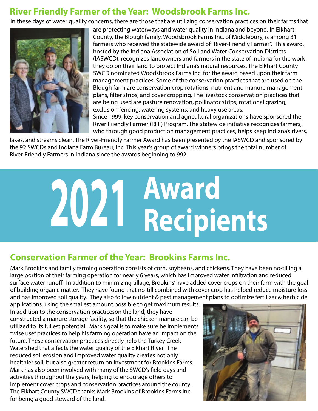#### **River Friendly Farmer of the Year: Woodsbrook Farms Inc.**

In these days of water quality concerns, there are those that are utilizing conservation practices on their farms that



are protecting waterways and water quality in Indiana and beyond. In Elkhart County, the Blough family, Woodsbrook Farms Inc. of Middlebury, is among 31 farmers who received the statewide award of "River-Friendly Farmer". This award, hosted by the Indiana Association of Soil and Water Conservation Districts (IASWCD), recognizes landowners and farmers in the state of Indiana for the work they do on their land to protect Indiana's natural resources. The Elkhart County SWCD nominated Woodsbrook Farms Inc. for the award based upon their farm management practices. Some of the conservation practices that are used on the Blough farm are conservation crop rotations, nutrient and manure management plans, filter strips, and cover cropping. The livestock conservation practices that are being used are pasture renovation, pollinator strips, rotational grazing, exclusion fencing, watering systems, and heavy use areas. Since 1999, key conservation and agricultural organizations have sponsored the River Friendly Farmer (RFF) Program. The statewide initiative recognizes farmers, who through good production management practices, helps keep Indiana's rivers,

lakes, and streams clean. The River-Friendly Farmer Award has been presented by the IASWCD and sponsored by the 92 SWCDs and Indiana Farm Bureau, Inc. This year's group of award winners brings the total number of River-Friendly Farmers in Indiana since the awards beginning to 992.



#### **Conservation Farmer of the Year: Brookins Farms Inc.**

Mark Brookins and family farming operation consists of corn, soybeans, and chickens. They have been no-tilling a large portion of their farming operation for nearly 6 years, which has improved water infiltration and reduced surface water runoff. In addition to minimizing tillage, Brookins' have added cover crops on their farm with the goal of building organic matter. They have found that no-till combined with cover crop has helped reduce moisture loss and has improved soil quality. They also follow nutrient & pest management plans to optimize fertilizer & herbicide

applications, using the smallest amount possible to get maximum results. In addition to the conservation practiceson the land, they have constructed a manure storage facility, so that the chicken manure can be utilized to its fullest potential. Mark's goal is to make sure he implements "wise use" practices to help his farming operation have an impact on the future. These conservation practices directly help the Turkey Creek Watershed that affects the water quality of the Elkhart River. The reduced soil erosion and improved water quality creates not only healthier soil, but also greater return on investment for Brookins Farms. Mark has also been involved with many of the SWCD's field days and activities throughout the years, helping to encourage others to implement cover crops and conservation practices around the county. The Elkhart County SWCD thanks Mark Brookins of Brookins Farms Inc. for being a good steward of the land.

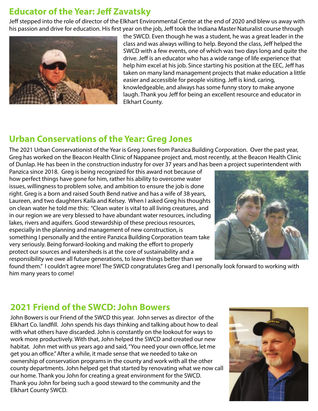#### **Educator of the Year: Jeff Zavatsky**

Jeff stepped into the role of director of the Elkhart Environmental Center at the end of 2020 and blew us away with his passion and drive for education. His first year on the job, Jeff took the Indiana Master Naturalist course through



the SWCD. Even though he was a student, he was a great leader in the class and was always willing to help. Beyond the class, Jeff helped the SWCD with a few events, one of which was two days long and quite the drive. Jeff is an educator who has a wide range of life experience that help him excel at his job. Since starting his position at the EEC, Jeff has taken on many land management projects that make education a little easier and accessible for people visiting. Jeff is kind, caring, knowledgeable, and always has some funny story to make anyone laugh. Thank you Jeff for being an excellent resource and educator in Elkhart County.

#### **Urban Conservations of the Year: Greg Jones**

The 2021 Urban Conservationist of the Year is Greg Jones from Panzica Building Corporation. Over the past year, Greg has worked on the Beacon Health Clinic of Nappanee project and, most recently, at the Beacon Health Clinic of Dunlap. He has been in the construction industry for over 37 years and has been a project superintendent with

Panzica since 2018. Greg is being recognized for this award not because of how perfect things have gone for him, rather his ability to overcome water issues, willingness to problem solve, and ambition to ensure the job is done right. Greg is a born and raised South Bend native and has a wife of 38 years, Laureen, and two daughters Kaila and Kelsey. When I asked Greg his thoughts on clean water he told me this: "Clean water is vital to all living creatures, and in our region we are very blessed to have abundant water resources, including lakes, rivers and aquifers. Good stewardship of these precious resources, especially in the planning and management of new construction, is something I personally and the entire Panzica Building Corporation team take very seriously. Being forward-looking and making the effort to properly protect our sources and watersheds is at the core of sustainability and a responsibility we owe all future generations, to leave things better than we



found them." I couldn't agree more! The SWCD congratulates Greg and I personally look forward to working with him many years to come!

#### 2021 Friend of the SWCD: John Bowers

John Bowers is our Friend of the SWCD this year. John serves as director of the Elkhart Co. landfill. John spends his days thinking and talking about how to deal with what others have discarded. John is constantly on the lookout for ways to work more productively. With that, John helped the SWCD and created our new habitat. John met with us years ago and said, "You need your own office, let me get you an office." After a while, it made sense that we needed to take on ownership of conservation programs in the county and work with all the other county departments. John helped get that started by renovating what we now call our home. Thank you John for creating a great environment for the SWCD. Thank you John for being such a good steward to the community and the Elkhart County SWCD.

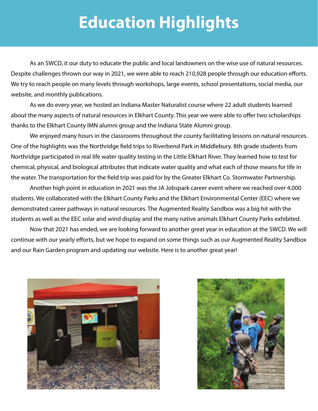# **Education Highlights**

 As an SWCD, it our duty to educate the public and local landowners on the wise use of natural resources. Despite challenges thrown our way in 2021, we were able to reach 210,928 people through our education efforts. We try to reach people on many levels through workshops, large events, school presentations, social media, our website, and monthly publications.

 As we do every year, we hosted an Indiana Master Naturalist course where 22 adult students learned about the many aspects of natural resources in Elkhart County. This year we were able to offer two scholarships thanks to the Elkhart County IMN alumni group and the Indiana State Alumni group.

 We enjoyed many hours in the classrooms throughout the county facilitating lessons on natural resources. One of the highlights was the Northridge field trips to Riverbend Park in Middlebury. 8th grade students from Northridge participated in real life water quality testing in the Little Elkhart River. They learned how to test for chemical, physical, and biological attributes that indicate water quality and what each of those means for life in the water. The transportation for the field trip was paid for by the Greater Elkhart Co. Stormwater Partnership.

 Another high point in education in 2021 was the JA Jobspark career event where we reached over 4,000 students. We collaborated with the Elkhart County Parks and the Elkhart Environmental Center (EEC) where we demonstrated career pathways in natural resources. The Augmented Reality Sandbox was a big hit with the students as well as the EEC solar and wind display and the many native animals Elkhart County Parks exhibited.

 Now that 2021 has ended, we are looking forward to another great year in education at the SWCD. We will continue with our yearly efforts, but we hope to expand on some things such as our Augmented Reality Sandbox and our Rain Garden program and updating our website. Here is to another great year!



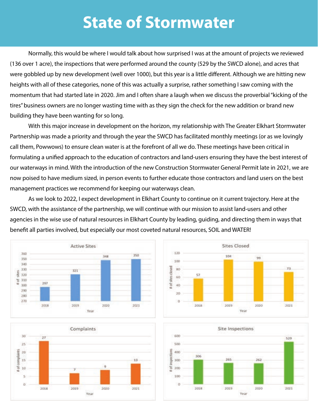## **State of Stormwater**

 Normally, this would be where I would talk about how surprised I was at the amount of projects we reviewed (136 over 1 acre), the inspections that were performed around the county (529 by the SWCD alone), and acres that were gobbled up by new development (well over 1000), but this year is a little different. Although we are hitting new heights with all of these categories, none of this was actually a surprise, rather something I saw coming with the momentum that had started late in 2020. Jim and I often share a laugh when we discuss the proverbial "kicking of the tires" business owners are no longer wasting time with as they sign the check for the new addition or brand new building they have been wanting for so long.

 With this major increase in development on the horizon, my relationship with The Greater Elkhart Stormwater Partnership was made a priority and through the year the SWCD has facilitated monthly meetings (or as we lovingly call them, Powwows) to ensure clean water is at the forefront of all we do. These meetings have been critical in formulating a unified approach to the education of contractors and land-users ensuring they have the best interest of our waterways in mind. With the introduction of the new Construction Stormwater General Permit late in 2021, we are now poised to have medium sized, in person events to further educate those contractors and land users on the best management practices we recommend for keeping our waterways clean.

 As we look to 2022, I expect development in Elkhart County to continue on it current trajectory. Here at the SWCD, with the assistance of the partnership, we will continue with our mission to assist land-users and other agencies in the wise use of natural resources in Elkhart County by leading, guiding, and directing them in ways that benefit all parties involved, but especially our most coveted natural resources, SOIL and WATER!







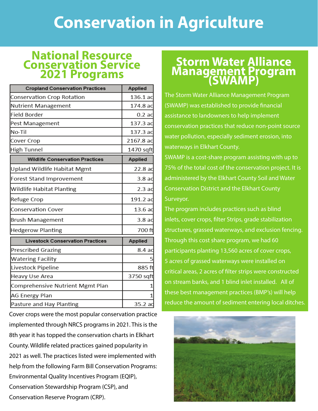# **Conservation in Agriculture**

#### **National Resource Conservation Service 2021 Programs**

| <b>Cropland Conservation Practices</b>  | Applied          |
|-----------------------------------------|------------------|
| Conservation Crop Rotation              | 136.1 ac         |
| Nutrient Management                     | 174.8 ac         |
| Field Border                            | 0.2ac            |
| Pest Management                         | 137.3 ac         |
| No-Til                                  | 137.3 ac         |
| Cover Crop                              | 2167.8 ac        |
| <b>High Tunnel</b>                      | 1470 sqft        |
| <b>Wildlife Conservation Practices</b>  | <b>Applied</b>   |
| Upland Wildlife Habitat Mgmt            | 22.8 ac          |
| Forest Stand Improvement                | 3.8a             |
| Wildlife Habitat Planting               | 2.3ac            |
| Refuge Crop                             | 191.2 ac         |
| <b>Conservation Cover</b>               | 13.6ac           |
| Brush Management                        | 3.8 <sub>a</sub> |
| <b>Hedgerow Planting</b>                | 700 ft           |
| <b>Livestock Conservation Practices</b> | <b>Applied</b>   |
| <b>Prescribed Grazing</b>               | 8.4 ac           |
| <b>Watering Facility</b>                |                  |
| Livestock Pipeline                      | 885 ft           |
| Heavy Use Area                          | 3750 sqft        |
| Comprehensive Nutrient Mgmt Plan        |                  |
| AG Energy Plan                          |                  |
| Pasture and Hay Planting                | 35.2 ac          |

Cover crops were the most popular conservation practice implemented through NRCS programs in 2021. This is the 8th year it has topped the conservation charts in Elkhart County. Wildlife related practices gained popularity in 2021 as well. The practices listed were implemented with help from the following Farm Bill Conservation Programs: Environmental Quality Incentives Program (EQIP), Conservation Stewardship Program (CSP), and Conservation Reserve Program (CRP).

### **Storm Water Alliance Management Program**<br>(SWAMP)

The Storm Water Alliance Management Program (SWAMP) was established to provide financial assistance to landowners to help implement conservation practices that reduce non-point source water pollution, especially sediment erosion, into waterways in Elkhart County.

SWAMP is a cost-share program assisting with up to 75% of the total cost of the conservation project. It is administered by the Elkhart County Soil and Water Conservation District and the Elkhart County Surveyor.

The program includes practices such as blind inlets, cover crops, filter Strips, grade stabilization structures, grassed waterways, and exclusion fencing. Through this cost share program, we had 60 participants planting 13,560 acres of cover crops, 5 acres of grassed waterways were installed on critical areas, 2 acres of filter strips were constructed on stream banks, and 1 blind inlet installed. All of these best management practices (BMP's) will help reduce the amount of sediment entering local ditches.

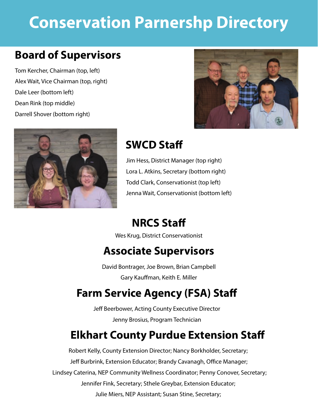# **Conservation Parnershp Directory**

#### **Board of Supervisors**

Tom Kercher, Chairman (top, left) Alex Wait, Vice Chairman (top, right) Dale Leer (bottom left) Dean Rink (top middle) Darrell Shover (bottom right)





### **SWCD Sta**

Jim Hess, District Manager (top right) Lora L. Atkins, Secretary (bottom right) Todd Clark, Conservationist (top left) Jenna Wait, Conservationist (bottom left)

### **NRCS Sta**

Wes Krug, District Conservationist

#### **Associate Supervisors**

David Bontrager, Joe Brown, Brian Campbell Gary Kauffman, Keith E. Miller

### **Farm Service Agency (FSA) Sta**

Jeff Beerbower, Acting County Executive Director Jenny Brosius, Program Technician

#### **Elkhart County Purdue Extension Sta**

Robert Kelly, County Extension Director; Nancy Borkholder, Secretary; Jeff Burbrink, Extension Educator; Brandy Cavanagh, Office Manager; Lindsey Caterina, NEP Community Wellness Coordinator; Penny Conover, Secretary; Jennifer Fink, Secretary; Sthele Greybar, Extension Educator; Julie Miers, NEP Assistant; Susan Stine, Secretary;